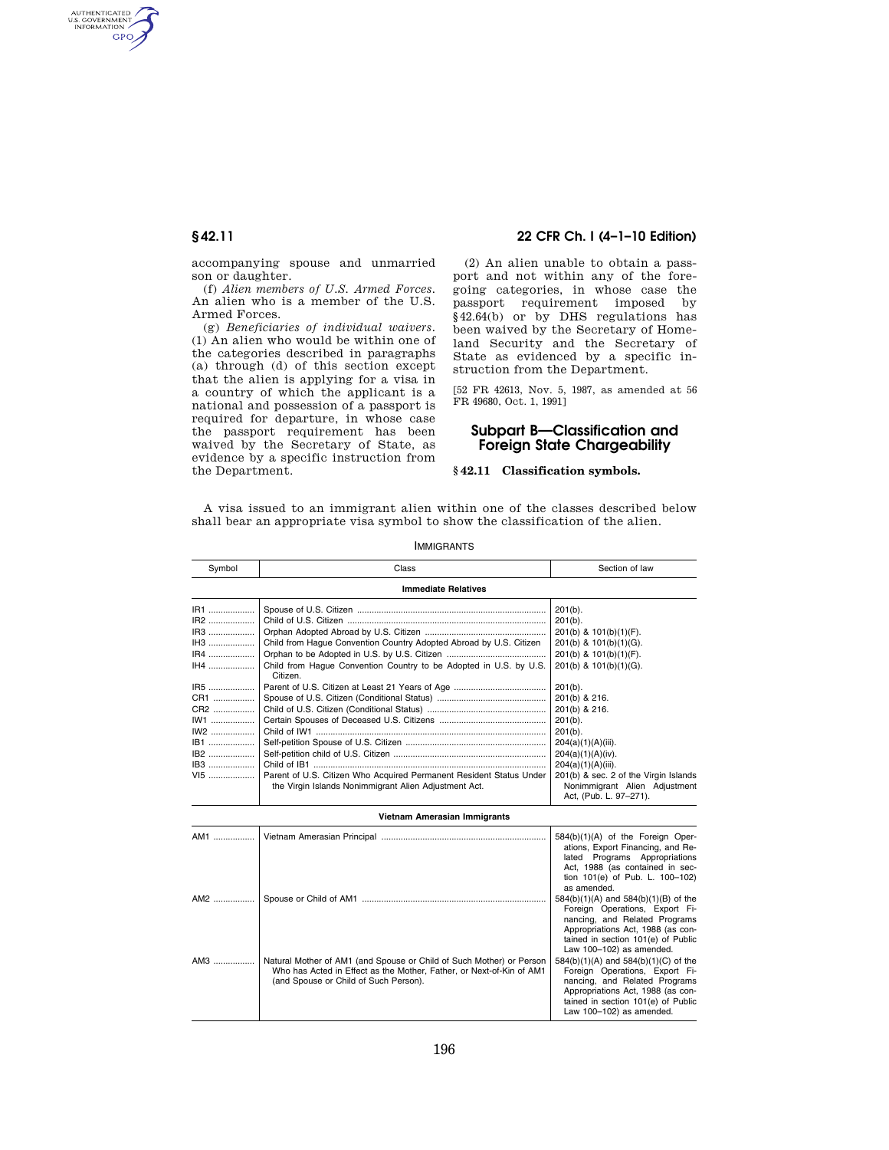AUTHENTICATED<br>U.S. GOVERNMENT<br>INFORMATION GPO

> accompanying spouse and unmarried son or daughter.

> (f) *Alien members of U.S. Armed Forces.*  An alien who is a member of the U.S. Armed Forces.

> (g) *Beneficiaries of individual waivers.*  (1) An alien who would be within one of the categories described in paragraphs (a) through (d) of this section except that the alien is applying for a visa in a country of which the applicant is a national and possession of a passport is required for departure, in whose case the passport requirement has been waived by the Secretary of State, as evidence by a specific instruction from the Department.

## **§ 42.11 22 CFR Ch. I (4–1–10 Edition)**

(2) An alien unable to obtain a passport and not within any of the foregoing categories, in whose case the passport requirement imposed by §42.64(b) or by DHS regulations has been waived by the Secretary of Homeland Security and the Secretary of State as evidenced by a specific instruction from the Department.

[52 FR 42613, Nov. 5, 1987, as amended at 56 FR 49680, Oct. 1, 1991]

# **Subpart B—Classification and Foreign State Chargeability**

### **§ 42.11 Classification symbols.**

A visa issued to an immigrant alien within one of the classes described below shall bear an appropriate visa symbol to show the classification of the alien.

| Symbol | Class                                                                                                                                                                                 | Section of law                                                                                                                                                                                                 |  |  |
|--------|---------------------------------------------------------------------------------------------------------------------------------------------------------------------------------------|----------------------------------------------------------------------------------------------------------------------------------------------------------------------------------------------------------------|--|--|
|        | <b>Immediate Relatives</b>                                                                                                                                                            |                                                                                                                                                                                                                |  |  |
| IR1    |                                                                                                                                                                                       | $201(b)$ .                                                                                                                                                                                                     |  |  |
| IR2    |                                                                                                                                                                                       | $201(b)$ .                                                                                                                                                                                                     |  |  |
| IR3    |                                                                                                                                                                                       | 201(b) & 101(b)(1)(F).                                                                                                                                                                                         |  |  |
| IH3    | Child from Haque Convention Country Adopted Abroad by U.S. Citizen                                                                                                                    | 201(b) & 101(b)(1)(G).                                                                                                                                                                                         |  |  |
| IR4    |                                                                                                                                                                                       | 201(b) & 101(b)(1)(F).                                                                                                                                                                                         |  |  |
| IH4    | Child from Haque Convention Country to be Adopted in U.S. by U.S.<br>Citizen.                                                                                                         | 201(b) & 101(b)(1)(G).                                                                                                                                                                                         |  |  |
| IR5    |                                                                                                                                                                                       | $201(b)$ .                                                                                                                                                                                                     |  |  |
| CR1    |                                                                                                                                                                                       | 201(b) & 216.                                                                                                                                                                                                  |  |  |
| CR2    |                                                                                                                                                                                       | 201(b) & 216.                                                                                                                                                                                                  |  |  |
| $IW1$  |                                                                                                                                                                                       | $201(b)$ .                                                                                                                                                                                                     |  |  |
| IW2    |                                                                                                                                                                                       | $201(b)$ .                                                                                                                                                                                                     |  |  |
| IB1    |                                                                                                                                                                                       | 204(a)(1)(A)(iii).                                                                                                                                                                                             |  |  |
| IB2    |                                                                                                                                                                                       | 204(a)(1)(A)(iv).                                                                                                                                                                                              |  |  |
| IB3    |                                                                                                                                                                                       | $204(a)(1)(A)(iii)$ .                                                                                                                                                                                          |  |  |
| VI5    | Parent of U.S. Citizen Who Acquired Permanent Resident Status Under<br>the Virgin Islands Nonimmigrant Alien Adjustment Act.                                                          | 201(b) & sec. 2 of the Virgin Islands<br>Nonimmigrant Alien Adjustment<br>Act, (Pub. L. 97-271).                                                                                                               |  |  |
|        | Vietnam Amerasian Immigrants                                                                                                                                                          |                                                                                                                                                                                                                |  |  |
| AM1    |                                                                                                                                                                                       | 584(b)(1)(A) of the Foreign Oper-<br>ations, Export Financing, and Re-<br>lated Programs Appropriations<br>Act, 1988 (as contained in sec-<br>tion 101(e) of Pub. L. 100-102)<br>as amended.                   |  |  |
| AM2    |                                                                                                                                                                                       | 584(b)(1)(A) and 584(b)(1)(B) of the<br>Foreign Operations, Export Fi-<br>nancing, and Related Programs<br>Appropriations Act. 1988 (as con-<br>tained in section 101(e) of Public<br>Law 100-102) as amended. |  |  |
| AM3    | Natural Mother of AM1 (and Spouse or Child of Such Mother) or Person<br>Who has Acted in Effect as the Mother, Father, or Next-of-Kin of AM1<br>(and Spouse or Child of Such Person). | 584(b)(1)(A) and 584(b)(1)(C) of the<br>Foreign Operations, Export Fi-<br>nancing, and Related Programs<br>Appropriations Act, 1988 (as con-<br>tained in section 101(e) of Public<br>Law 100-102) as amended. |  |  |

IMMIGRANTS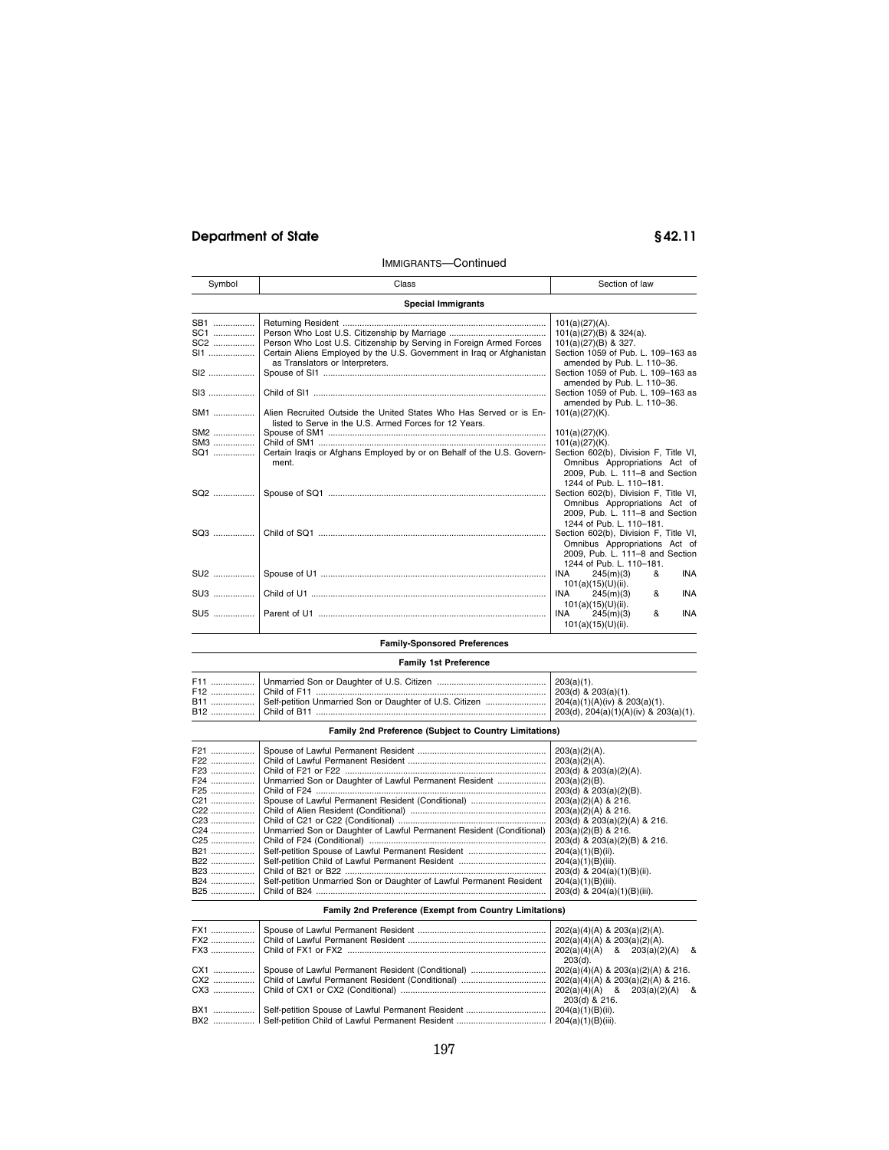# **Department of State § 42.11**

# IMMIGRANTS—Continued

| Symbol | Class                                                                                                    | Section of law                                                         |
|--------|----------------------------------------------------------------------------------------------------------|------------------------------------------------------------------------|
|        | <b>Special Immigrants</b>                                                                                |                                                                        |
| SB1    |                                                                                                          | $101(a)(27)(A)$ .                                                      |
| SC1    |                                                                                                          | 101(a)(27)(B) & 324(a).                                                |
| SC2    | Person Who Lost U.S. Citizenship by Serving in Foreign Armed Forces                                      | $101(a)(27)(B)$ & 327.                                                 |
| SI1    | Certain Aliens Employed by the U.S. Government in Iraq or Afghanistan<br>as Translators or Interpreters. | Section 1059 of Pub. L. 109-163 as<br>amended by Pub. L. 110-36.       |
| $SI2$  |                                                                                                          | Section 1059 of Pub. L. 109-163 as                                     |
|        |                                                                                                          | amended by Pub. L. 110-36.                                             |
| SI3    |                                                                                                          | Section 1059 of Pub. L. 109-163 as<br>amended by Pub. L. 110-36.       |
| SM1    | Alien Recruited Outside the United States Who Has Served or is En-                                       | $101(a)(27)(K)$ .                                                      |
|        | listed to Serve in the U.S. Armed Forces for 12 Years.                                                   |                                                                        |
| SM2    |                                                                                                          | $101(a)(27)(K)$ .                                                      |
| SM3    |                                                                                                          | $101(a)(27)(K)$ .                                                      |
| SQ1    | Certain Iragis or Afghans Employed by or on Behalf of the U.S. Govern-<br>ment.                          | Section 602(b), Division F, Title VI,<br>Omnibus Appropriations Act of |
|        |                                                                                                          | 2009, Pub. L. 111-8 and Section<br>1244 of Pub. L. 110-181.            |
| SQ2    |                                                                                                          | Section 602(b), Division F, Title VI,                                  |
|        |                                                                                                          | Omnibus Appropriations Act of                                          |
|        |                                                                                                          | 2009, Pub. L. 111-8 and Section                                        |
|        |                                                                                                          | 1244 of Pub. L. 110-181.                                               |
|        |                                                                                                          | Section 602(b), Division F, Title VI,                                  |
|        |                                                                                                          | Omnibus Appropriations Act of                                          |
|        |                                                                                                          | 2009, Pub. L. 111-8 and Section                                        |
|        |                                                                                                          | 1244 of Pub. L. 110-181.                                               |
| SU2    |                                                                                                          | <b>INA</b><br><b>INA</b><br>245(m)(3)<br>&                             |
|        |                                                                                                          | $101(a)(15)(U)(ii)$ .                                                  |
| SU3    |                                                                                                          | <b>INA</b><br>245(m)(3)<br><b>INA</b><br>&                             |
|        |                                                                                                          | $101(a)(15)(U)(ii)$ .                                                  |
| SU5    |                                                                                                          | <b>INA</b><br><b>INA</b><br>245(m)(3)<br>&                             |
|        |                                                                                                          | $101(a)(15)(U)(ii)$ .                                                  |
|        | <b>Family-Sponsored Preferences</b>                                                                      |                                                                        |
|        |                                                                                                          |                                                                        |

# **Family 1st Preference**

|  | B11    Self-petition Unmarried Son or Daughter of U.S. Citizen    204(a)(1)(A)(iv) & 203(a)(1). | $203(d)$ & $203(a)(1)$ .<br>203(d), $204(a)(1)(A)(iv)$ & $203(a)(1)$ . |
|--|-------------------------------------------------------------------------------------------------|------------------------------------------------------------------------|
|--|-------------------------------------------------------------------------------------------------|------------------------------------------------------------------------|

## **Family 2nd Preference (Subject to Country Limitations)**

| F21             |                                                                             | $203(a)(2)(A)$ .             |
|-----------------|-----------------------------------------------------------------------------|------------------------------|
| F22             |                                                                             | $203(a)(2)(A)$ .             |
|                 |                                                                             | 203(d) & 203(a)(2)(A).       |
| F24             | Unmarried Son or Daughter of Lawful Permanent Resident                      | $203(a)(2)(B)$ .             |
| F25             |                                                                             | 203(d) & 203(a)(2)(B).       |
|                 | C21  Spouse of Lawful Permanent Resident (Conditional)                      | $203(a)(2)(A)$ & 216.        |
| $C22$           |                                                                             | $203(a)(2)(A)$ & 216.        |
| C23             |                                                                             | 203(d) & 203(a)(2)(A) & 216. |
|                 | C24    Unmarried Son or Daughter of Lawful Permanent Resident (Conditional) | $203(a)(2)(B)$ & 216.        |
| C <sub>25</sub> |                                                                             | 203(d) & 203(a)(2)(B) & 216. |
| B21             | Self-petition Spouse of Lawful Permanent Resident                           | $204(a)(1)(B)(ii)$ .         |
| B22             |                                                                             | $204(a)(1)(B)(iii)$ .        |
| B23             |                                                                             | 203(d) & 204(a)(1)(B)(ii).   |
| B24             | Self-petition Unmarried Son or Daughter of Lawful Permanent Resident        | $204(a)(1)(B)(iii)$ .        |
|                 |                                                                             | 203(d) & 204(a)(1)(B)(iii).  |
|                 |                                                                             |                              |

# **Family 2nd Preference (Exempt from Country Limitations)**

| FX1 |               |
|-----|---------------|
| CX1 | 203(d).       |
|     | 203(d) & 216. |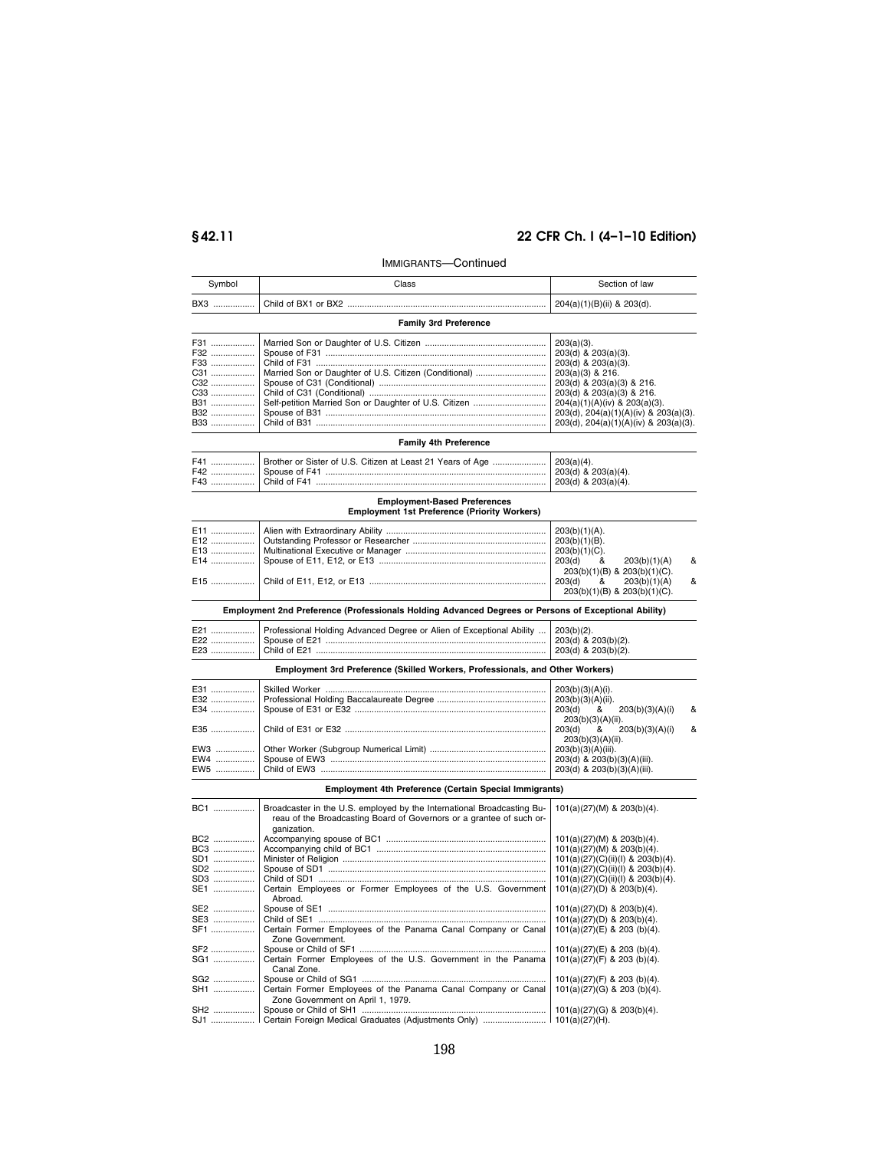# **§ 42.11 22 CFR Ch. I (4–1–10 Edition)**

# IMMIGRANTS—Continued

| Symbol                                                      | Class                                                                                                                                                         | Section of law                                                                                                                                                                                                                                               |
|-------------------------------------------------------------|---------------------------------------------------------------------------------------------------------------------------------------------------------------|--------------------------------------------------------------------------------------------------------------------------------------------------------------------------------------------------------------------------------------------------------------|
| BX3                                                         |                                                                                                                                                               | 204(a)(1)(B)(ii) & 203(d).                                                                                                                                                                                                                                   |
|                                                             | <b>Family 3rd Preference</b>                                                                                                                                  |                                                                                                                                                                                                                                                              |
| F31<br>F32<br>F33<br>C31<br>C32<br>C33<br>B31<br>B32<br>B33 | Married Son or Daughter of U.S. Citizen (Conditional)                                                                                                         | $203(a)(3)$ .<br>203(d) & 203(a)(3).<br>203(d) & 203(a)(3).<br>203(a)(3) & 216.<br>203(d) & 203(a)(3) & 216.<br>203(d) & 203(a)(3) & 216.<br>204(a)(1)(A)(iv) & 203(a)(3).<br>203(d), 204(a)(1)(A)(iv) & 203(a)(3).<br>203(d), 204(a)(1)(A)(iv) & 203(a)(3). |
|                                                             | Family 4th Preference                                                                                                                                         |                                                                                                                                                                                                                                                              |
| F41<br>F42<br>F43                                           | Brother or Sister of U.S. Citizen at Least 21 Years of Age<br><b>Employment-Based Preferences</b><br><b>Employment 1st Preference (Priority Workers)</b>      | $203(a)(4)$ .<br>203(d) & 203(a)(4).<br>203(d) & 203(a)(4).                                                                                                                                                                                                  |
|                                                             |                                                                                                                                                               |                                                                                                                                                                                                                                                              |
| E11<br>E12<br>E13<br>E14<br>E15                             |                                                                                                                                                               | 203(b)(1)(A).<br>$203(b)(1)(B)$ .<br>203(b)(1)(C).<br>&<br>203(d)<br>203(b)(1)(A)<br>&<br>203(b)(1)(B) & 203(b)(1)(C).<br>203(d)<br>&<br>203(b)(1)(A)<br>&<br>203(b)(1)(B) & 203(b)(1)(C).                                                                   |
|                                                             | Employment 2nd Preference (Professionals Holding Advanced Degrees or Persons of Exceptional Ability)                                                          |                                                                                                                                                                                                                                                              |
| E21<br>E22<br>E23                                           | Professional Holding Advanced Degree or Alien of Exceptional Ability                                                                                          | $203(b)(2)$ .<br>203(d) & 203(b)(2).<br>203(d) & 203(b)(2).                                                                                                                                                                                                  |
|                                                             | Employment 3rd Preference (Skilled Workers, Professionals, and Other Workers)                                                                                 |                                                                                                                                                                                                                                                              |
| E31<br>E32<br>E34<br>E35                                    |                                                                                                                                                               | $203(b)(3)(A)(i)$ .<br>203(b)(3)(A)(ii).<br>203(d)<br>&<br>203(b)(3)(A)(i)<br>&<br>203(b)(3)(A)(ii).<br>203(d)<br>&<br>203(b)(3)(A)(i)<br>&<br>203(b)(3)(A)(ii).                                                                                             |
| EW3<br>EW4<br>EW5                                           |                                                                                                                                                               | 203(b)(3)(A)(iii).<br>203(d) & 203(b)(3)(A)(iii).<br>203(d) & 203(b)(3)(A)(iii).                                                                                                                                                                             |
|                                                             | Employment 4th Preference (Certain Special Immigrants)                                                                                                        |                                                                                                                                                                                                                                                              |
| BC1                                                         | Broadcaster in the U.S. employed by the International Broadcasting Bu-<br>reau of the Broadcasting Board of Governors or a grantee of such or-<br>ganization. | 101(a)(27)(M) & 203(b)(4).                                                                                                                                                                                                                                   |
| BC2<br>BC3<br>SD1<br>SD2<br>SD3<br>SE1                      | Certain Employees or Former Employees of the U.S. Government                                                                                                  | 101(a)(27)(M) & 203(b)(4).<br>101(a)(27)(M) & 203(b)(4).<br>101(a)(27)(C)(ii)(l) & 203(b)(4).<br>101(a)(27)(C)(ii)(l) & 203(b)(4).<br>101(a)(27)(C)(ii)(l) & 203(b)(4).<br>101(a)(27)(D) & 203(b)(4).                                                        |
| SE2<br>SE3<br>SF1                                           | Abroad.<br>Certain Former Employees of the Panama Canal Company or Canal<br>Zone Government.                                                                  | 101(a)(27)(D) & 203(b)(4).<br>101(a)(27)(D) & 203(b)(4).<br>101(a)(27)(E) & 203 (b)(4).                                                                                                                                                                      |
| SF2<br>SG1<br>SG2                                           | Certain Former Employees of the U.S. Government in the Panama<br>Canal Zone.                                                                                  | 101(a)(27)(E) & 203 (b)(4).<br>101(a)(27)(F) & 203 (b)(4).<br>101(a)(27)(F) & 203 (b)(4).                                                                                                                                                                    |
| SH1<br>SH2                                                  | Certain Former Employees of the Panama Canal Company or Canal<br>Zone Government on April 1, 1979.                                                            | 101(a)(27)(G) & 203 (b)(4).<br>101(a)(27)(G) & 203(b)(4).                                                                                                                                                                                                    |
| SJ1                                                         | Certain Foreign Medical Graduates (Adjustments Only)                                                                                                          | $101(a)(27)(H)$ .                                                                                                                                                                                                                                            |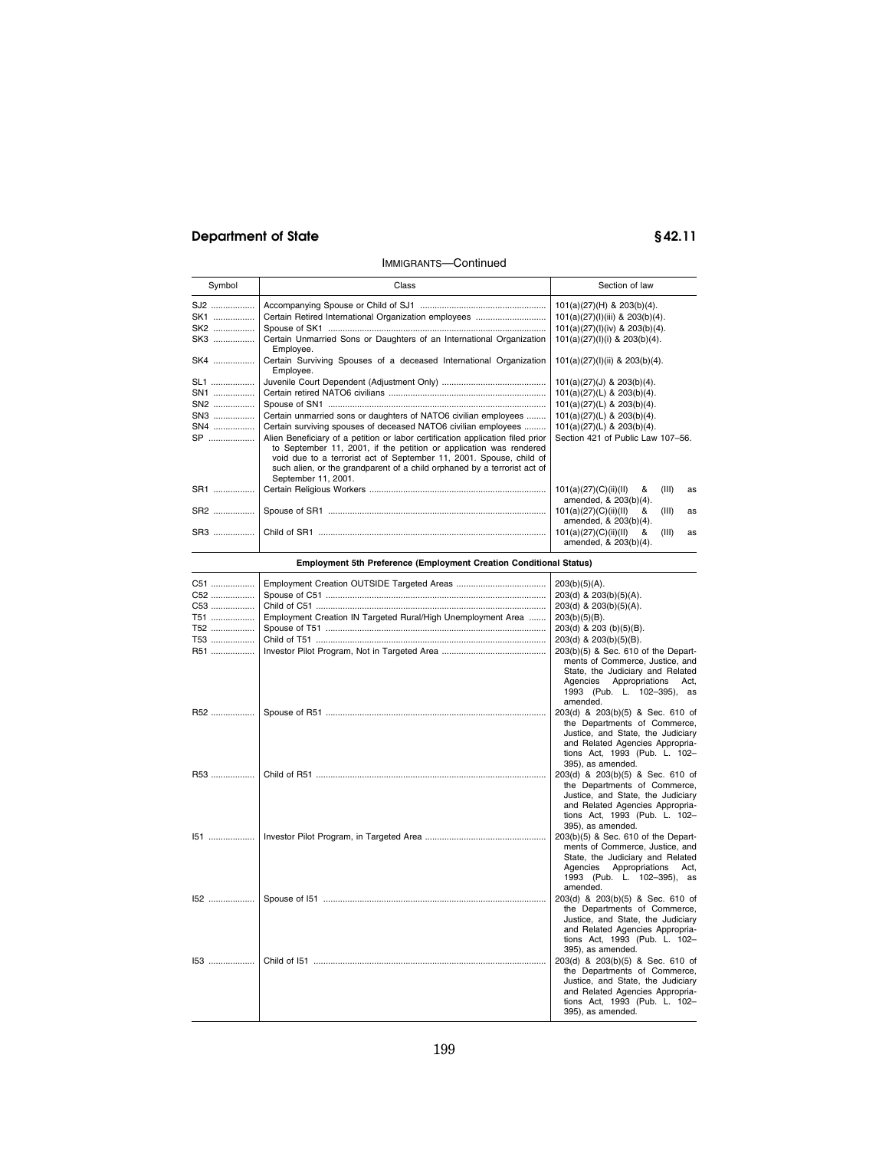# **Department of State § 42.11**

# IMMIGRANTS—Continued

| Symbol     | Class                                                                                                                                                                                                                                                                                                                          | Section of law                                                     |
|------------|--------------------------------------------------------------------------------------------------------------------------------------------------------------------------------------------------------------------------------------------------------------------------------------------------------------------------------|--------------------------------------------------------------------|
| SJ2        |                                                                                                                                                                                                                                                                                                                                | $101(a)(27)(H)$ & $203(b)(4)$ .                                    |
| SK1        |                                                                                                                                                                                                                                                                                                                                | 101(a)(27)(l)(iii) & 203(b)(4).                                    |
| SK2        |                                                                                                                                                                                                                                                                                                                                | 101(a)(27)(l)(iv) & 203(b)(4).                                     |
| SK3        | Certain Unmarried Sons or Daughters of an International Organization<br>Employee.                                                                                                                                                                                                                                              | $101(a)(27)(I)(i)$ & $203(b)(4)$ .                                 |
| SK4        | Certain Surviving Spouses of a deceased International Organization<br>Employee.                                                                                                                                                                                                                                                | 101(a)(27)(l)(ii) & 203(b)(4).                                     |
| <b>SL1</b> |                                                                                                                                                                                                                                                                                                                                | $101(a)(27)(J)$ & $203(b)(4)$ .                                    |
| SN1        |                                                                                                                                                                                                                                                                                                                                | $101(a)(27)(L)$ & $203(b)(4)$ .                                    |
| SN2        |                                                                                                                                                                                                                                                                                                                                | 101(a)(27)(L) & 203(b)(4).                                         |
| SN3        | Certain unmarried sons or daughters of NATO6 civilian employees                                                                                                                                                                                                                                                                | $101(a)(27)(L)$ & $203(b)(4)$ .                                    |
| SN4        | Certain surviving spouses of deceased NATO6 civilian employees                                                                                                                                                                                                                                                                 | 101(a)(27)(L) & 203(b)(4).                                         |
| <b>SP</b>  | Alien Beneficiary of a petition or labor certification application filed prior<br>to September 11, 2001, if the petition or application was rendered<br>void due to a terrorist act of September 11, 2001. Spouse, child of<br>such alien, or the grandparent of a child orphaned by a terrorist act of<br>September 11, 2001. | Section 421 of Public Law 107-56.                                  |
| SR1        |                                                                                                                                                                                                                                                                                                                                | 101(a)(27)(C)(ii)(II)<br>&<br>(III)<br>as<br>amended, & 203(b)(4). |
| SR2        |                                                                                                                                                                                                                                                                                                                                | 101(a)(27)(C)(ii)(II)<br>(III)<br>&<br>as<br>amended, & 203(b)(4). |
|            |                                                                                                                                                                                                                                                                                                                                | 101(a)(27)(C)(ii)(II)<br>(III)<br>&<br>as<br>amended, & 203(b)(4). |

**Employment 5th Preference (Employment Creation Conditional Status)** 

| C51   |                                                              | $203(b)(5)(A)$ .                                                                                                                                                                                  |
|-------|--------------------------------------------------------------|---------------------------------------------------------------------------------------------------------------------------------------------------------------------------------------------------|
| C52   |                                                              | 203(d) & 203(b)(5)(A).                                                                                                                                                                            |
| C53   |                                                              | 203(d) & 203(b)(5)(A).                                                                                                                                                                            |
| T51   | Employment Creation IN Targeted Rural/High Unemployment Area | $203(b)(5)(B)$ .                                                                                                                                                                                  |
| T52   |                                                              | 203(d) & 203 (b)(5)(B).                                                                                                                                                                           |
| T53   |                                                              | 203(d) & 203(b)(5)(B).                                                                                                                                                                            |
| R51   |                                                              | 203(b)(5) & Sec. 610 of the Depart-<br>ments of Commerce, Justice, and<br>State, the Judiciary and Related<br>Agencies Appropriations Act,<br>1993 (Pub. L. 102-395), as<br>amended.              |
| R52   |                                                              | 203(d) & 203(b)(5) & Sec. 610 of<br>the Departments of Commerce,<br>Justice, and State, the Judiciary<br>and Related Agencies Appropria-<br>tions Act, 1993 (Pub. L. 102-<br>395), as amended.    |
| R53   |                                                              | 203(d) & 203(b)(5) & Sec. 610 of                                                                                                                                                                  |
| $151$ |                                                              | the Departments of Commerce,<br>Justice, and State, the Judiciary<br>and Related Agencies Appropria-<br>tions Act, 1993 (Pub. L. 102-<br>395), as amended.<br>203(b)(5) & Sec. 610 of the Depart- |
|       |                                                              | ments of Commerce, Justice, and<br>State, the Judiciary and Related<br>Agencies Appropriations<br>Act,<br>1993 (Pub. L. 102-395), as<br>amended.                                                  |
| 152   |                                                              | 203(d) & 203(b)(5) & Sec. 610 of<br>the Departments of Commerce,<br>Justice, and State, the Judiciary<br>and Related Agencies Appropria-<br>tions Act, 1993 (Pub. L. 102-<br>395), as amended.    |
| $153$ |                                                              | 203(d) & 203(b)(5) & Sec. 610 of<br>the Departments of Commerce,<br>Justice, and State, the Judiciary<br>and Related Agencies Appropria-<br>tions Act, 1993 (Pub. L. 102-<br>395), as amended.    |